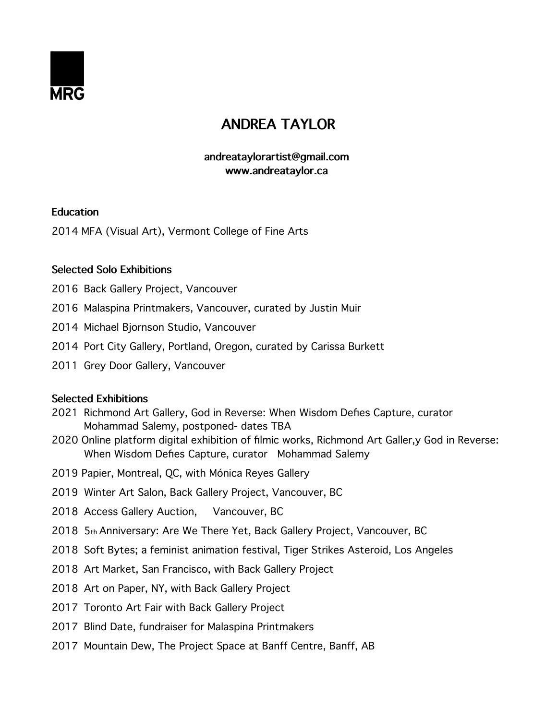

# **ANDREA TAYLOR**

## **andreataylorartist@gmail.com www.andreataylor.ca**

## **Education**

2014 MFA (Visual Art), Vermont College of Fine Arts

## **Selected Solo Exhibitions**

- 2016 Back Gallery Project, Vancouver
- 2016 Malaspina Printmakers, Vancouver, curated by Justin Muir
- 2014 Michael Bjornson Studio, Vancouver
- 2014 Port City Gallery, Portland, Oregon, curated by Carissa Burkett
- 2011 Grey Door Gallery, Vancouver

#### **Selected Exhibitions**

- 2021 Richmond Art Gallery, God in Reverse: When Wisdom Defes Capture, curator Mohammad Salemy, postponed- dates TBA
- 2020 Online platform digital exhibition of flmic works, Richmond Art Galler,y God in Reverse: When Wisdom Defes Capture, curator Mohammad Salemy
- 2019 Papier, Montreal, QC, with Mónica Reyes Gallery
- 2019 Winter Art Salon, Back Gallery Project, Vancouver, BC
- 2018 Access Gallery Auction, Vancouver, BC
- 2018 5th Anniversary: Are We There Yet, Back Gallery Project, Vancouver, BC
- 2018 Soft Bytes; a feminist animation festival, Tiger Strikes Asteroid, Los Angeles
- 2018 Art Market, San Francisco, with Back Gallery Project
- 2018 Art on Paper, NY, with Back Gallery Project
- 2017 Toronto Art Fair with Back Gallery Project
- 2017 Blind Date, fundraiser for Malaspina Printmakers
- 2017 Mountain Dew, The Project Space at Banff Centre, Banff, AB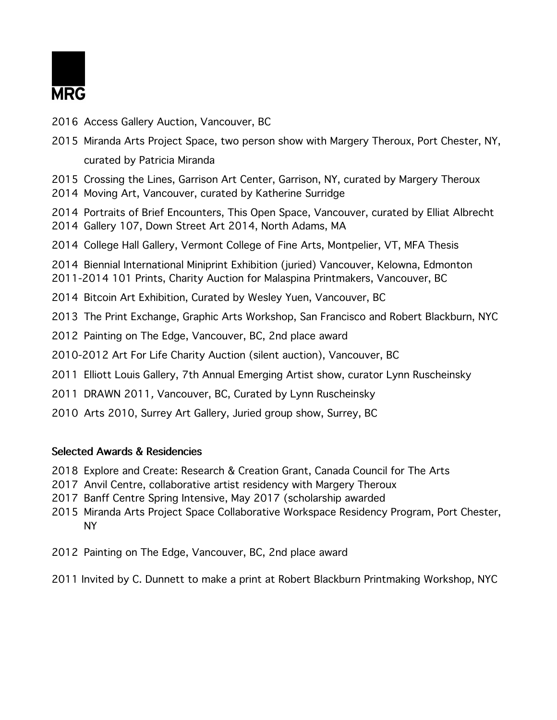

- 2016 Access Gallery Auction, Vancouver, BC
- 2015 Miranda Arts Project Space, two person show with Margery Theroux, Port Chester, NY, curated by Patricia Miranda
- 2015 Crossing the Lines, Garrison Art Center, Garrison, NY, curated by Margery Theroux
- 2014 Moving Art, Vancouver, curated by Katherine Surridge
- 2014 Portraits of Brief Encounters, This Open Space, Vancouver, curated by Elliat Albrecht
- 2014 Gallery 107, Down Street Art 2014, North Adams, MA
- 2014 College Hall Gallery, Vermont College of Fine Arts, Montpelier, VT, MFA Thesis
- 2014 Biennial International Miniprint Exhibition (juried) Vancouver, Kelowna, Edmonton 2011-2014 101 Prints, Charity Auction for Malaspina Printmakers, Vancouver, BC
- 2014 Bitcoin Art Exhibition, Curated by Wesley Yuen, Vancouver, BC
- 2013 The Print Exchange, Graphic Arts Workshop, San Francisco and Robert Blackburn, NYC
- 2012 Painting on The Edge, Vancouver, BC, 2nd place award
- 2010-2012 Art For Life Charity Auction (silent auction), Vancouver, BC
- 2011 Elliott Louis Gallery, 7th Annual Emerging Artist show, curator Lynn Ruscheinsky
- 2011 DRAWN 2011, Vancouver, BC, Curated by Lynn Ruscheinsky
- 2010 Arts 2010, Surrey Art Gallery, Juried group show, Surrey, BC

#### **Selected Awards & Residencies**

- 2018 Explore and Create: Research & Creation Grant, Canada Council for The Arts
- 2017 Anvil Centre, collaborative artist residency with Margery Theroux
- 2017 Banff Centre Spring Intensive, May 2017 (scholarship awarded
- 2015 Miranda Arts Project Space Collaborative Workspace Residency Program, Port Chester, NY
- 2012 Painting on The Edge, Vancouver, BC, 2nd place award
- 2011 Invited by C. Dunnett to make a print at Robert Blackburn Printmaking Workshop, NYC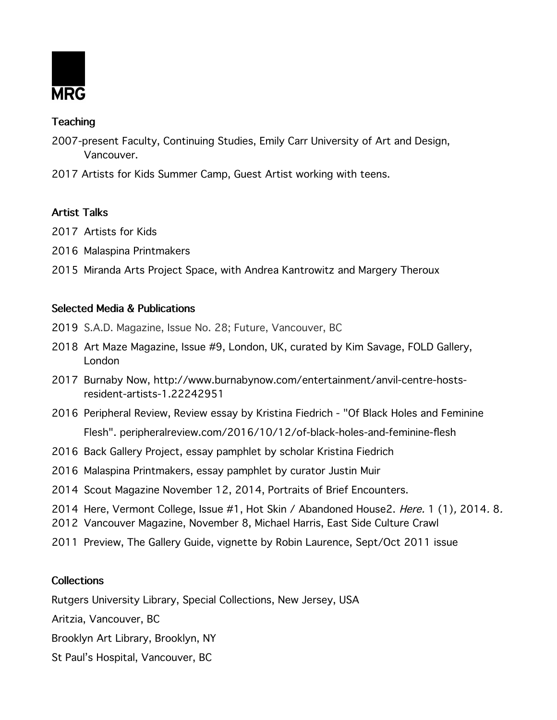

## **Teaching**

- 2007-present Faculty, Continuing Studies, Emily Carr University of Art and Design, Vancouver.
- 2017 Artists for Kids Summer Camp, Guest Artist working with teens.

## **Artist Talks**

- 2017 Artists for Kids
- 2016 Malaspina Printmakers
- 2015 Miranda Arts Project Space, with Andrea Kantrowitz and Margery Theroux

## **Selected Media & Publications**

- 2019 S.A.D. Magazine, Issue No. 28; Future, Vancouver, BC
- 2018 Art Maze Magazine, Issue #9, London, UK, curated by Kim Savage, FOLD Gallery, London
- 2017 Burnaby Now, http://www.burnabynow.com/entertainment/anvil-centre-hostsresident-artists-1.22242951
- 2016 Peripheral Review, Review essay by Kristina Fiedrich "Of Black Holes and Feminine Flesh". peripheralreview.com/2016/10/12/of-black-holes-and-feminine-fesh
- 2016 Back Gallery Project, essay pamphlet by scholar Kristina Fiedrich
- 2016 Malaspina Printmakers, essay pamphlet by curator Justin Muir
- 2014 Scout Magazine November 12, 2014, Portraits of Brief Encounters.
- 2014 Here, Vermont College, Issue #1, Hot Skin / Abandoned House2. Here. 1 (1), 2014. 8.
- 2012 Vancouver Magazine, November 8, Michael Harris, East Side Culture Crawl
- 2011 Preview, The Gallery Guide, vignette by Robin Laurence, Sept/Oct 2011 issue

#### **Collections**

Rutgers University Library, Special Collections, New Jersey, USA

Aritzia, Vancouver, BC

Brooklyn Art Library, Brooklyn, NY

St Paul's Hospital, Vancouver, BC